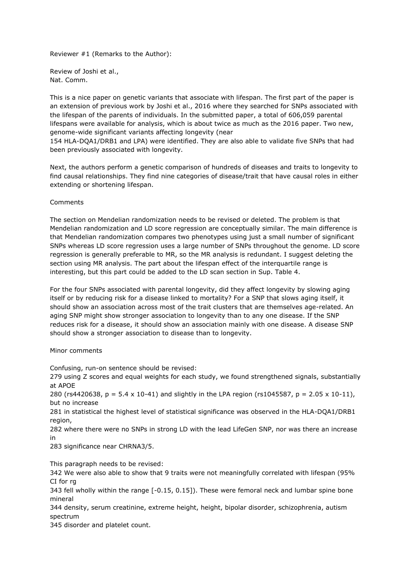Reviewer #1 (Remarks to the Author):

Review of Joshi et al., Nat. Comm.

This is a nice paper on genetic variants that associate with lifespan. The first part of the paper is an extension of previous work by Joshi et al., 2016 where they searched for SNPs associated with the lifespan of the parents of individuals. In the submitted paper, a total of 606,059 parental lifespans were available for analysis, which is about twice as much as the 2016 paper. Two new, genome-wide significant variants affecting longevity (near

154 HLA-DQA1/DRB1 and LPA) were identified. They are also able to validate five SNPs that had been previously associated with longevity.

Next, the authors perform a genetic comparison of hundreds of diseases and traits to longevity to find causal relationships. They find nine categories of disease/trait that have causal roles in either extending or shortening lifespan.

Comments

The section on Mendelian randomization needs to be revised or deleted. The problem is that Mendelian randomization and LD score regression are conceptually similar. The main difference is that Mendelian randomization compares two phenotypes using just a small number of significant SNPs whereas LD score regression uses a large number of SNPs throughout the genome. LD score regression is generally preferable to MR, so the MR analysis is redundant. I suggest deleting the section using MR analysis. The part about the lifespan effect of the interquartile range is interesting, but this part could be added to the LD scan section in Sup. Table 4.

For the four SNPs associated with parental longevity, did they affect longevity by slowing aging itself or by reducing risk for a disease linked to mortality? For a SNP that slows aging itself, it should show an association across most of the trait clusters that are themselves age-related. An aging SNP might show stronger association to longevity than to any one disease. If the SNP reduces risk for a disease, it should show an association mainly with one disease. A disease SNP should show a stronger association to disease than to longevity.

Minor comments

Confusing, run-on sentence should be revised:

279 using Z scores and equal weights for each study, we found strengthened signals, substantially at APOE

280 (rs4420638, p = 5.4 x 10-41) and slightly in the LPA region (rs1045587, p = 2.05 x 10-11), but no increase

281 in statistical the highest level of statistical significance was observed in the HLA-DQA1/DRB1 region,

282 where there were no SNPs in strong LD with the lead LifeGen SNP, nor was there an increase in

283 significance near CHRNA3/5.

This paragraph needs to be revised:

342 We were also able to show that 9 traits were not meaningfully correlated with lifespan (95% CI for rg

343 fell wholly within the range [-0.15, 0.15]). These were femoral neck and lumbar spine bone mineral

344 density, serum creatinine, extreme height, height, bipolar disorder, schizophrenia, autism spectrum

345 disorder and platelet count.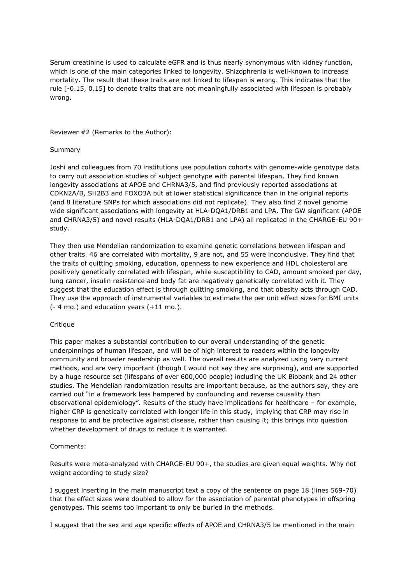Serum creatinine is used to calculate eGFR and is thus nearly synonymous with kidney function, which is one of the main categories linked to longevity. Shizophrenia is well-known to increase mortality. The result that these traits are not linked to lifespan is wrong. This indicates that the rule [-0.15, 0.15] to denote traits that are not meaningfully associated with lifespan is probably wrong.

Reviewer #2 (Remarks to the Author):

### Summary

Joshi and colleagues from 70 institutions use population cohorts with genome-wide genotype data to carry out association studies of subject genotype with parental lifespan. They find known longevity associations at APOE and CHRNA3/5, and find previously reported associations at CDKN2A/B, SH2B3 and FOXO3A but at lower statistical significance than in the original reports (and 8 literature SNPs for which associations did not replicate). They also find 2 novel genome wide significant associations with longevity at HLA-DQA1/DRB1 and LPA. The GW significant (APOE and CHRNA3/5) and novel results (HLA-DQA1/DRB1 and LPA) all replicated in the CHARGE-EU 90+ study.

They then use Mendelian randomization to examine genetic correlations between lifespan and other traits. 46 are correlated with mortality, 9 are not, and 55 were inconclusive. They find that the traits of quitting smoking, education, openness to new experience and HDL cholesterol are positively genetically correlated with lifespan, while susceptibility to CAD, amount smoked per day, lung cancer, insulin resistance and body fat are negatively genetically correlated with it. They suggest that the education effect is through quitting smoking, and that obesity acts through CAD. They use the approach of instrumental variables to estimate the per unit effect sizes for BMI units (- 4 mo.) and education years (+11 mo.).

## **Critique**

This paper makes a substantial contribution to our overall understanding of the genetic underpinnings of human lifespan, and will be of high interest to readers within the longevity community and broader readership as well. The overall results are analyzed using very current methods, and are very important (though I would not say they are surprising), and are supported by a huge resource set (lifespans of over 600,000 people) including the UK Biobank and 24 other studies. The Mendelian randomization results are important because, as the authors say, they are carried out "in a framework less hampered by confounding and reverse causality than observational epidemiology". Results of the study have implications for healthcare – for example, higher CRP is genetically correlated with longer life in this study, implying that CRP may rise in response to and be protective against disease, rather than causing it; this brings into question whether development of drugs to reduce it is warranted.

#### Comments:

Results were meta-analyzed with CHARGE-EU 90+, the studies are given equal weights. Why not weight according to study size?

I suggest inserting in the main manuscript text a copy of the sentence on page 18 (lines 569-70) that the effect sizes were doubled to allow for the association of parental phenotypes in offspring genotypes. This seems too important to only be buried in the methods.

I suggest that the sex and age specific effects of APOE and CHRNA3/5 be mentioned in the main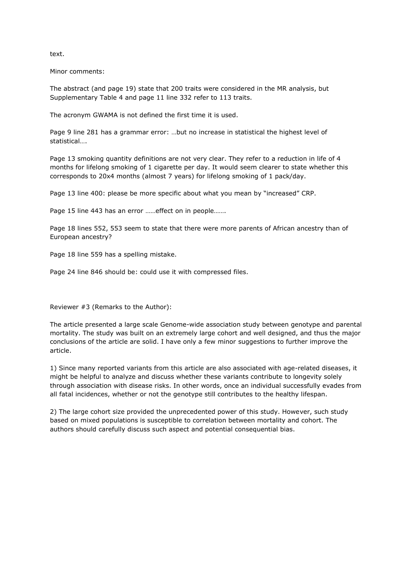text.

Minor comments:

The abstract (and page 19) state that 200 traits were considered in the MR analysis, but Supplementary Table 4 and page 11 line 332 refer to 113 traits.

The acronym GWAMA is not defined the first time it is used.

Page 9 line 281 has a grammar error: …but no increase in statistical the highest level of statistical….

Page 13 smoking quantity definitions are not very clear. They refer to a reduction in life of 4 months for lifelong smoking of 1 cigarette per day. It would seem clearer to state whether this corresponds to 20x4 months (almost 7 years) for lifelong smoking of 1 pack/day.

Page 13 line 400: please be more specific about what you mean by "increased" CRP.

Page 15 line 443 has an error ……effect on in people…….

Page 18 lines 552, 553 seem to state that there were more parents of African ancestry than of European ancestry?

Page 18 line 559 has a spelling mistake.

Page 24 line 846 should be: could use it with compressed files.

Reviewer #3 (Remarks to the Author):

The article presented a large scale Genome-wide association study between genotype and parental mortality. The study was built on an extremely large cohort and well designed, and thus the major conclusions of the article are solid. I have only a few minor suggestions to further improve the article.

1) Since many reported variants from this article are also associated with age-related diseases, it might be helpful to analyze and discuss whether these variants contribute to longevity solely through association with disease risks. In other words, once an individual successfully evades from all fatal incidences, whether or not the genotype still contributes to the healthy lifespan.

2) The large cohort size provided the unprecedented power of this study. However, such study based on mixed populations is susceptible to correlation between mortality and cohort. The authors should carefully discuss such aspect and potential consequential bias.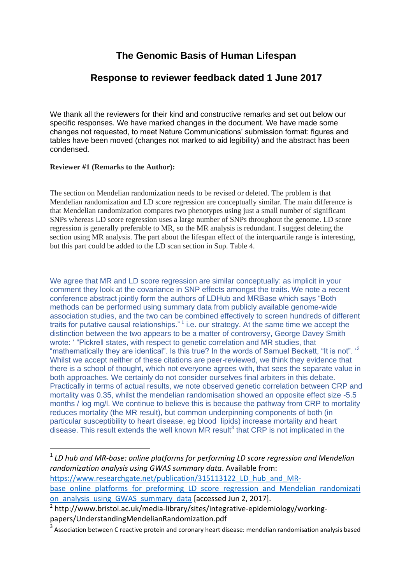# **The Genomic Basis of Human Lifespan**

## **Response to reviewer feedback dated 1 June 2017**

We thank all the reviewers for their kind and constructive remarks and set out below our specific responses. We have marked changes in the document. We have made some changes not requested, to meet Nature Communications" submission format: figures and tables have been moved (changes not marked to aid legibility) and the abstract has been condensed.

## **Reviewer #1 (Remarks to the Author):**

The section on Mendelian randomization needs to be revised or deleted. The problem is that Mendelian randomization and LD score regression are conceptually similar. The main difference is that Mendelian randomization compares two phenotypes using just a small number of significant SNPs whereas LD score regression uses a large number of SNPs throughout the genome. LD score regression is generally preferable to MR, so the MR analysis is redundant. I suggest deleting the section using MR analysis. The part about the lifespan effect of the interquartile range is interesting, but this part could be added to the LD scan section in Sup. Table 4.

We agree that MR and LD score regression are similar conceptually: as implicit in your comment they look at the covariance in SNP effects amongst the traits. We note a recent conference abstract jointly form the authors of LDHub and MRBase which says "Both methods can be performed using summary data from publicly available genome-wide association studies, and the two can be combined effectively to screen hundreds of different traits for putative causal relationships."<sup>1</sup> i.e. our strategy. At the same time we accept the distinction between the two appears to be a matter of controversy, George Davey Smith wrote: " "Pickrell states, with respect to genetic correlation and MR studies, that "mathematically they are identical". Is this true? In the words of Samuel Beckett, "It is not". " Whilst we accept neither of these citations are peer-reviewed, we think they evidence that there is a school of thought, which not everyone agrees with, that sees the separate value in both approaches. We certainly do not consider ourselves final arbiters in this debate. Practically in terms of actual results, we note observed genetic correlation between CRP and mortality was 0.35, whilst the mendelian randomisation showed an opposite effect size -5.5 months / log mg/l. We continue to believe this is because the pathway from CRP to mortality reduces mortality (the MR result), but common underpinning components of both (in particular susceptibility to heart disease, eg blood lipids) increase mortality and heart disease. This result extends the well known MR result $3$  that CRP is not implicated in the

**.** <sup>1</sup> LD hub and MR-base: online platforms for performing LD score regression and Mendelian *randomization analysis using GWAS summary data*. Available from: [https://www.researchgate.net/publication/315113122\\_LD\\_hub\\_and\\_MR](https://www.researchgate.net/publication/315113122_LD_hub_and_MR-base_online_platforms_for_preforming_LD_score_regression_and_Mendelian_randomization_analysis_using_GWAS_summary_data)[base\\_online\\_platforms\\_for\\_preforming\\_LD\\_score\\_regression\\_and\\_Mendelian\\_randomizati](https://www.researchgate.net/publication/315113122_LD_hub_and_MR-base_online_platforms_for_preforming_LD_score_regression_and_Mendelian_randomization_analysis_using_GWAS_summary_data) [on\\_analysis\\_using\\_GWAS\\_summary\\_data](https://www.researchgate.net/publication/315113122_LD_hub_and_MR-base_online_platforms_for_preforming_LD_score_regression_and_Mendelian_randomization_analysis_using_GWAS_summary_data) [accessed Jun 2, 2017]. <sup>2</sup> http://www.bristol.ac.uk/media-library/sites/integrative-epidemiology/working-

papers/UnderstandingMendelianRandomization.pdf

 $3$  Association between C reactive protein and coronary heart disease: mendelian randomisation analysis based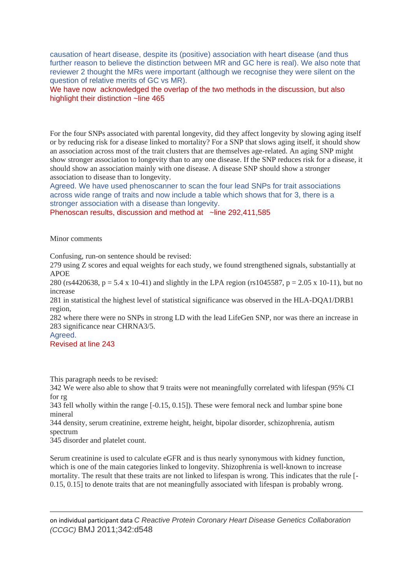causation of heart disease, despite its (positive) association with heart disease (and thus further reason to believe the distinction between MR and GC here is real). We also note that reviewer 2 thought the MRs were important (although we recognise they were silent on the question of relative merits of GC vs MR).

We have now acknowledged the overlap of the two methods in the discussion, but also highlight their distinction ~line 465

For the four SNPs associated with parental longevity, did they affect longevity by slowing aging itself or by reducing risk for a disease linked to mortality? For a SNP that slows aging itself, it should show an association across most of the trait clusters that are themselves age-related. An aging SNP might show stronger association to longevity than to any one disease. If the SNP reduces risk for a disease, it should show an association mainly with one disease. A disease SNP should show a stronger association to disease than to longevity.

Agreed. We have used phenoscanner to scan the four lead SNPs for trait associations across wide range of traits and now include a table which shows that for 3, there is a stronger association with a disease than longevity.

Phenoscan results, discussion and method at ~line 292,411,585

Minor comments

Confusing, run-on sentence should be revised:

279 using Z scores and equal weights for each study, we found strengthened signals, substantially at APOE

280 (rs4420638, p = 5.4 x 10-41) and slightly in the LPA region (rs1045587, p = 2.05 x 10-11), but no increase

281 in statistical the highest level of statistical significance was observed in the HLA-DQA1/DRB1 region,

282 where there were no SNPs in strong LD with the lead LifeGen SNP, nor was there an increase in 283 significance near CHRNA3/5.

Agreed.

**.** 

## Revised at line 243

This paragraph needs to be revised:

342 We were also able to show that 9 traits were not meaningfully correlated with lifespan (95% CI for rg

343 fell wholly within the range [-0.15, 0.15]). These were femoral neck and lumbar spine bone mineral

344 density, serum creatinine, extreme height, height, bipolar disorder, schizophrenia, autism spectrum

345 disorder and platelet count.

Serum creatinine is used to calculate eGFR and is thus nearly synonymous with kidney function, which is one of the main categories linked to longevity. Shizophrenia is well-known to increase mortality. The result that these traits are not linked to lifespan is wrong. This indicates that the rule [- 0.15, 0.15] to denote traits that are not meaningfully associated with lifespan is probably wrong.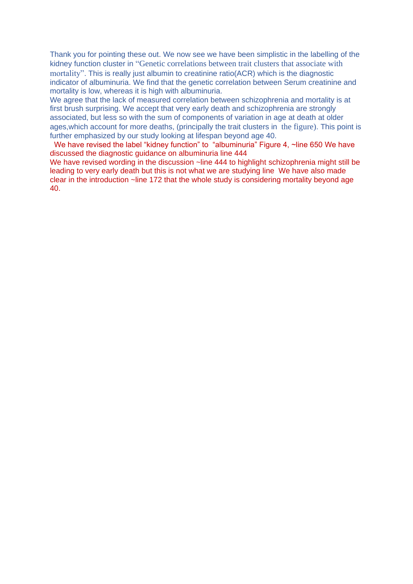Thank you for pointing these out. We now see we have been simplistic in the labelling of the kidney function cluster in "Genetic correlations between trait clusters that associate with mortality". This is really just albumin to creatinine ratio(ACR) which is the diagnostic indicator of albuminuria. We find that the genetic correlation between Serum creatinine and mortality is low, whereas it is high with albuminuria.

We agree that the lack of measured correlation between schizophrenia and mortality is at first brush surprising. We accept that very early death and schizophrenia are strongly associated, but less so with the sum of components of variation in age at death at older ages,which account for more deaths, (principally the trait clusters in the figure). This point is further emphasized by our study looking at lifespan beyond age 40.

We have revised the label "kidney function" to "albuminuria" Figure 4, ~line 650 We have discussed the diagnostic guidance on albuminuria line 444

We have revised wording in the discussion ~line 444 to highlight schizophrenia might still be leading to very early death but this is not what we are studying line We have also made clear in the introduction ~line 172 that the whole study is considering mortality beyond age 40.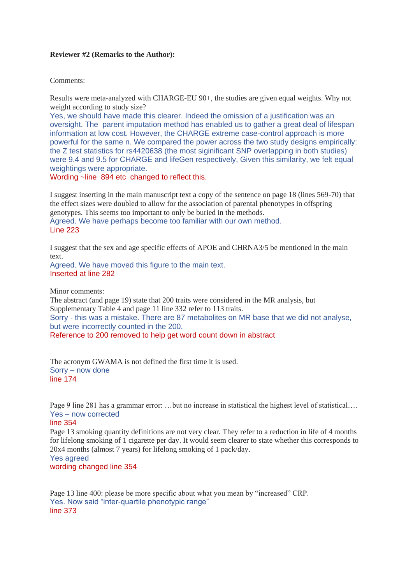### **Reviewer #2 (Remarks to the Author):**

Comments:

Results were meta-analyzed with CHARGE-EU 90+, the studies are given equal weights. Why not weight according to study size?

Yes, we should have made this clearer. Indeed the omission of a justification was an oversight. The parent imputation method has enabled us to gather a great deal of lifespan information at low cost. However, the CHARGE extreme case-control approach is more powerful for the same n. We compared the power across the two study designs empirically: the Z test statistics for rs4420638 (the most siginificant SNP overlapping in both studies) were 9.4 and 9.5 for CHARGE and lifeGen respectively, Given this similarity, we felt equal weightings were appropriate.

Wording ~line 894 etc changed to reflect this.

I suggest inserting in the main manuscript text a copy of the sentence on page 18 (lines 569-70) that the effect sizes were doubled to allow for the association of parental phenotypes in offspring genotypes. This seems too important to only be buried in the methods. Agreed. We have perhaps become too familiar with our own method. Line 223

I suggest that the sex and age specific effects of APOE and CHRNA3/5 be mentioned in the main text.

Agreed. We have moved this figure to the main text. Inserted at line 282

Minor comments:

The abstract (and page 19) state that 200 traits were considered in the MR analysis, but Supplementary Table 4 and page 11 line 332 refer to 113 traits. Sorry - this was a mistake. There are 87 metabolites on MR base that we did not analyse, but were incorrectly counted in the 200. Reference to 200 removed to help get word count down in abstract

The acronym GWAMA is not defined the first time it is used. Sorry – now done line 174

Page 9 line 281 has a grammar error: …but no increase in statistical the highest level of statistical…. Yes – now corrected

#### line 354

Page 13 smoking quantity definitions are not very clear. They refer to a reduction in life of 4 months for lifelong smoking of 1 cigarette per day. It would seem clearer to state whether this corresponds to 20x4 months (almost 7 years) for lifelong smoking of 1 pack/day. Yes agreed

wording changed line 354

Page 13 line 400: please be more specific about what you mean by "increased" CRP. Yes. Now said "inter-quartile phenotypic range" line 373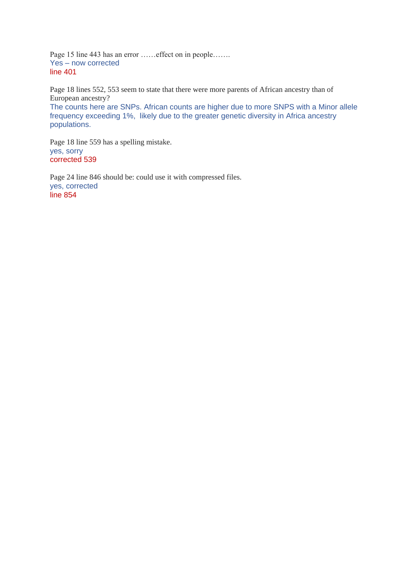Page 15 line 443 has an error ……effect on in people……. Yes – now corrected line 401

Page 18 lines 552, 553 seem to state that there were more parents of African ancestry than of European ancestry?

The counts here are SNPs. African counts are higher due to more SNPS with a Minor allele frequency exceeding 1%, likely due to the greater genetic diversity in Africa ancestry populations.

Page 18 line 559 has a spelling mistake. yes, sorry corrected 539

Page 24 line 846 should be: could use it with compressed files. yes, corrected line 854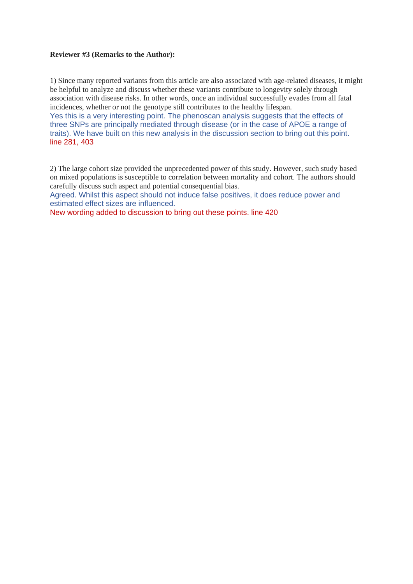### **Reviewer #3 (Remarks to the Author):**

1) Since many reported variants from this article are also associated with age-related diseases, it might be helpful to analyze and discuss whether these variants contribute to longevity solely through association with disease risks. In other words, once an individual successfully evades from all fatal incidences, whether or not the genotype still contributes to the healthy lifespan.

Yes this is a very interesting point. The phenoscan analysis suggests that the effects of three SNPs are principally mediated through disease (or in the case of APOE a range of traits). We have built on this new analysis in the discussion section to bring out this point. line 281, 403

2) The large cohort size provided the unprecedented power of this study. However, such study based on mixed populations is susceptible to correlation between mortality and cohort. The authors should carefully discuss such aspect and potential consequential bias.

Agreed. Whilst this aspect should not induce false positives, it does reduce power and estimated effect sizes are influenced.

New wording added to discussion to bring out these points. line 420